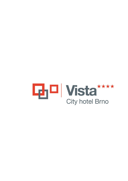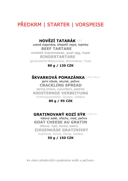# PŘEDKRM | STARTER | VORSPEISE

## **HOVĚZÍ TATARÁK** 1,3,7

uzená majonéza, křepelčí vejce, topinky  **BEEF TARTARE** smoked mayonnaisse, quail egg, toast  **RINDERTARTARE** geräucherte Mayonnaise, Wachteleier, Toast

#### **80 g / 130 CZK**

### **ŠKVARKOVÁ POMAZÁNKA** 1,3,6,7,10,11

jarní cibule, okurek, pečivo **CRACKLING SPREAD** spring onions, cucumbers, pastries **KNISTERNDE VERBEITUNG** Frühlingszwiebeln, Gurken, Gebäck

#### **80 g / 95 CZK**

### **GRATINOVANÝ KOZÍ SÝR** 1,3,6,7,11

listový salát, ořechy, med, pečivo **GOAT CHEESE AU GRATIN** lettuce, nuts, honey, pastry **ZIEGENKÄSE GRATINIERT** Kopfsalat, Nüsse, Honig, Gebäck

#### **50 g / 150 CZK**

Ke všem předkrmům podáváme košík s pečivem.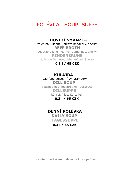# POLÉVKA | SOUP| SUPPE

### **HOVĚZÍ VÝVAR** 1,3,9

zelenina julienne, játrové knedlíčky, sherry **BEEF BROTH** vegetable julienne, liver dumplings, sherry **RINDERBRÜHE** Julienne Gemüse, Leberknödel, Sherry

### **0,3 l / 65 CZK**

### **KULAJDA** 1,3,7

 zastřené vejce, hřiby, brambory  **DILL SOUP** poached egg, mushrooms, potatoes  **DILLSUPPE** Rührei, Pilze, Kartoffeln  **0,3 l / 65 CZK**

# **DENNÍ POLÉVKA**

 **DAILY SOUP TAGESSUPPE**

 **0,3 l / 45 CZK**

Ke všem polévkám podáváme košík pečivem.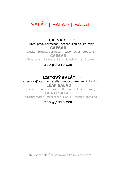# SALÁT | SALAD | SALAT

 **CAESAR** 1,3,4,10 kuřecí prsa, parmezán, pečená slanina, krutony  **CAESAR** chicken breast, parmesan, bacon chips, croutons  **CAESAR** Hühnerbrust, Parmesankäse, Speck-Chips, Croutons

### **300 g / 210 CZK**

## **LISTOVÝ SALÁT** 7,10,12

cherry rajčata, mozzarella, medovo-limetkový dresink  **LEAF SALAD** cherry tomatoes, mozzarella, honey-lime dressing  **BLATTSALAT** Kirschtomaten, mozzarella, Honig-Limetten dressing

### **300 g / 190 CZK**

Ke všem salátům podáváme košík s pečivem.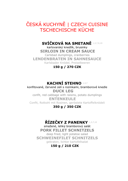# ČESKÁ KUCHYNĚ | CZECH CUISINE TSCHECHISCHE KÜCHE

## **SVÍČKOVÁ NA SMETANĚ** 1,3,7,9,10

karlovarský knedlík, brusinky  **SIRLOIN IN CREAM SAUCE** Carlsbad dumplings, cranberries **LENDENBRATEN IN SAHNESAUCE** Karlsbader Knödel, Preiselbeeren

**150 g / 270 CZK**

### **KACHNÍ STEHNO** 1,3,7

konfitované, červené zelí s rozinkami, bramborové knedle  **DUCK LEG**

confit, red cabbage with raisins, potato dumplings  **ENTENKEULE**

Confit, Rotkohl mit Rosinen, geröstete Kartoffelknödeli

#### **350 g / 350 CZK**

## **ŘÍZEČKY Z PANENKY** 1,3,7,10

smažené, lehký bramborový salát **PORK FILLET SCHNITZELS** deep fried, light potatoe salad **SCHWEINEFILET SCHNITZELS** gebraten, lichter kartofellsalat

### **150 g / 210 CZK**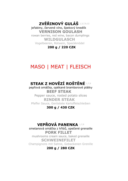**ZVĚŘINOVÝ GULÁŠ** 1,3,7,9,12

 jeřabiny, červené víno, špekový knedlík  **VERNISON GOULASH**

 rowan berries, red wine, bacon dumplings  **WILDGULASCH** Vogelbeeren, Rotwein, Speckknödel

 **200 g / 220 CZK**

# MASO | MEAT | FLEISCH

# **STEAK Z HOVĚZÍ ROŠTĚNÉ** 1,7,9

pepřová omáčka, opékané bramborové plátky  **BEEF STEAK** Pepper sauce, rosted potato slices  **RINDER STEAK** Pfeffer Sauce, Geröstete Kartoffelschleiben

#### **300 g / 430 CZK**

## **VEPŘOVÁ PANENKA** 1,7,9

smetanová omáčka z hřibů, opečené grenaille  **PORK FILLET** mushrooms cream sauce, baked grenaille  **SCHWEINEFILET** Champignons mit Sahne, Gebackenen Grenille

**200 g / 280 CZK**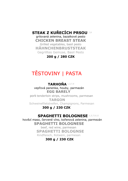# **STEAK Z KUŘECÍCH PRSOU** 7,8

grilovaná zelenina, bazalkové pesto **CHICKEN BREAST STEAK** Grilled vegetables, basil pesto **HÄHNCHENBRUSTSTEAK** Gegrilltes Gemüse, Basil Pesto

**200 g / 280 CZK**

# TĚSTOVINY | PASTA

### **TARHOŇA** 1,3,7,9

 vepřová panenka, houby, parmazán  **EGG BARELY**

 pork tenderloin strips, mushrooms, parmesan  **TARGON** Schweinefiletstreifen, Champignons, Parmesan

#### **300 g / 230 CZK**

### **SPAGHETTI BOLOGNESE** 1,3,7,9,12

hovězí maso, červené víno, kořenová zelenina, parmezán  **SPAGHETTI BOLOGNESE** beef, red wine, parmesan  **SPAGHETTI BOLOGNSE** Rindfleisch, Rotwein, parmesan

### **300 g / 230 CZK**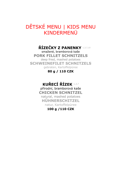# DĚTSKÉ MENU | KIDS MENU KINDERMENÜ

## **ŘÍZEČKY Z PANENKY** 1,3,7,10

smažené, bramborová kaše **PORK FILLET SCHNITZELS** deep fried, mashed potatoes **SCHWEINEFILET SCHNITZELS** gebraten, Kartoffelpüree

### **80 g / 110 CZK**

# **KUŘECÍ ŘÍZEK** 1,3,7

přírodní, bramborová kaše **CHICKEN SCHNITZEL** natural, mashed potatoes **HŰHNERSCHITZEL** natur, Kartoffelpüree

### **100 g /110 CZK**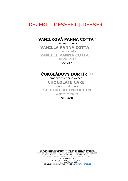# DEZERT | DESSERT | DESSERT

### **VANILKOVÁ PANNA COTTA** <sup>7</sup>

višňové coulis  **VANILLA PANNA COTTA** cherry coulis  **VANILLE PANNA COTTA** Kirsch Coulis

**90 CZK**

## **ČOKOLÁDOVÝ DORTÍK** 1,3,7

 omáčka z lesního ovoce  **CHOCOLATE CAKE** forest fruit sauce **SCHOKOLADENKUCHEN** Waldfruchtsauce

#### **90 CZK**

KOMPLETNÍ SEZNAM ALERGENŮ NA VYŽÁDÁNÍ U OBSLUHY STŘEDISKA SERVICE WILL PROVIDE YOU DETAILS OF FOOD ALLERGENS UPON REQUEST SMLUVNÍ CENY V KČ, VČETNĚ PŘÍSLUŠNÉ DPH, PLATNÉ OD 1. 1. 2021 PRICES ARE IN CZK, INCLUDING VAT, VALID FROM 1. 1. 2021 HOTEL VISTA BRNO HUDCOVA 72, BRNO CZECH REPUBLIC TEL.: +420/734 523 956 E-MAIL: RECEPCE@VISTA-HOTEL.C[Z WWW.VISTA-HOTEL.CZ](http://www.vista-hotel.cz/)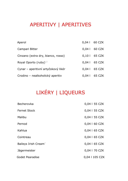# APERITIVY | APERITIVES

| Aperol                              | 0,04   60 CZK  |
|-------------------------------------|----------------|
| Campari Bitter                      | $0.041$ 60 CZK |
| Cinzano (extra dry, bianco, rosso)  | 0,10   65 CZK  |
| Royal Oporto (ruby) $12$            | $0.041$ 65 CZK |
| Cynar – aperitivní artyčokový likér | 0,04   65 CZK  |
| Crodino – nealkoholický aperitiv    | $0.041$ 65 CZK |

# LIKÉRY | LIQUEURS

| Becherovka                       | 0,04   55 CZK  |
|----------------------------------|----------------|
| <b>Fernet Stock</b>              | 0,04   55 CZK  |
| Malibu                           | 0,04   55 CZK  |
| Pernod                           | 0,04   60 CZK  |
| Kahlua                           | 0,04   65 CZK  |
| Cointreau                        | 0,04   65 CZK  |
| Baileys Irish Cream <sup>7</sup> | 0,04   65 CZK  |
| Jägermeister                     | 0,04   70 CZK  |
| Godet Pearadise                  | 0,04   105 CZK |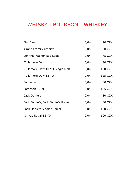# WHISKY | BOURBON | WHISKEY

| Jim Beam                           | 0,041  | 70 CZK         |
|------------------------------------|--------|----------------|
| Grant's family reserve             | 0,041  | 70 CZK         |
| Johnnie Walker Red Label           | 0,041  | 75 CZK         |
| <b>Tullamore Dew</b>               | 0,041  | 80 CZK         |
| Tullamore Dew 10 YO Single Malt    | 0,041  | 120 CZK        |
| Tullamore Dew 12 YO                | 0,041  | <b>125 CZK</b> |
| Jameson                            | 0,041  | 80 CZK         |
| Jameson 12 YO                      | 0,041  | <b>125 CZK</b> |
| Jack Daniel's                      | 0,041  | 80 CZK         |
| Jack Daniel's, Jack Daniel's Honey | 0,041  | 80 CZK         |
| Jack Daniel's Singler Barrel       | $0,04$ | <b>160 CZK</b> |
| Chivas Regal 12 YO                 | 0,041  | 100 CZK        |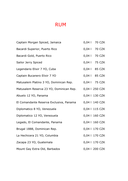# RUM

| Captain Morgan Spiced, Jamaica          | 0,04   70 CZK  |
|-----------------------------------------|----------------|
| Bacardi Superior, Puerto Rico           | 0,04   70 CZK  |
| Bacardi Gold, Puerto Rico               | 0,04   70 CZK  |
| Sailor Jerry Spiced                     | 0,04   75 CZK  |
| Legendario Elixir 7 YO, Cuba            | 0,04   85 CZK  |
| Captain Bucanero Elixir 7 YO            | 0,04   85 CZK  |
| Matusalem Platino 3 YO, Dominican Rep.  | 0,04   75 CZK  |
| Matusalem Reserva 23 YO, Dominican Rep. | 0,04   250 CZK |
| Abuelo 12 YO, Panama                    | 0,04   130 CZK |
| El Comandante Reserva Exclusiva, Panama | 0,04   140 CZK |
| Diplomatico 8 YO, Venezuela             | 0,04   115 CZK |
| Diplomatico 12 YO, Venezuela            | 0,04   160 CZK |
| Legado, El Comandante, Panama           | 0,04   160 CZK |
| Brugal 1888, Dominican Rep.             | 0,04   170 CZK |
| La Hechicera 21 YO, Columbia            | 0,04   170 CZK |
| Zacapa 23 YO, Guatemala                 | 0,04   170 CZK |
| Mount Gay Extra Old, Barbados           | 0,04   200 CZK |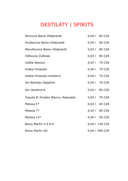# DESTILÁTY | SPIRITS

| Slivovice Baron Hildprandt          | 0,04   85 CZK  |
|-------------------------------------|----------------|
| Hruškovice Baron Hildprandt         | 0,04   85 CZK  |
| Meruňkovice Baron Hildprandt        | 0,04   85 CZK  |
| Višňovice Žufánek                   | 0.04   85 CZK  |
| Vodka Absolut                       | 0,04   70 CZK  |
| Vodka Finlandia                     | 0,04   70 CZK  |
| Vodka Finlandia cranberry           | 0,04   70 CZK  |
| Gin Bombay Sapphire                 | 0,04   70 CZK  |
| Gin Hendrick'S                      | 0,04   85 CZK  |
| Tequila El Jimador Blanco, Reposado | 0,04   70 CZK  |
| Metaxa 5*                           | 0,04   65 CZK  |
| Metaxa $7*$                         | 0,04   85 CZK  |
| Metaxa $12*$                        | 0,04   95 CZK  |
| Remy Martin V.S.O.P.                | 0,04   130 CZK |
| Remy Martin XO                      | 0,04   400 CZK |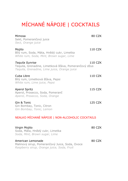# MÍCHANÉ NÁPOJE | COCKTAILS

| Mimosa<br>Sekt, Pomerančový juice<br>Sect, Orange juice                                                                  |                | 80 CZK |
|--------------------------------------------------------------------------------------------------------------------------|----------------|--------|
| Mojito<br>Bílý rum, Soda, Máta, Hnědý cukr, Limetka<br>White rum, Soda, Mint, Brown sugar, Lime                          | 110 CZK        |        |
| Tequila Sunrise<br>Tequila, Grenadine, Limetková šťáva, Pomerančový džus<br>Tequila, Grenadine, Lime juice, Orange juice | 110 CZK        |        |
| Cuba Libre<br>Bílý rum, Limetková šťáva, Pepsi<br>White rum, Lime juice, Pepsi                                           | 110 CZK        |        |
| Aperol Spritz<br>Aperol, Prosecco, Soda, Pomeranč<br>Aperol, Prosecco, Soda, Orange                                      | <b>115 CZK</b> |        |
| Gin & Tonic<br>Gin Bombay, Tonic, Citron<br>Gin Bombay, Tonic, Lemon                                                     | <b>125 CZK</b> |        |
| NEALKO MÍCHANÉ NÁPOJE   NON-ALCOHOLIC COCKTAILS                                                                          |                |        |
| Virgin Mojito<br>Soda, Máta, Hnědý cukr, Limetka<br>Soda, Mint, Brown sugar, Lime                                        |                | 80 CZK |
| American Lemonade<br>Malinový sirup, Pomerančový Juice, Soda, Ovoce<br>Raspberry sirup, Orange juice, Soda, Fruit        |                | 80 CZK |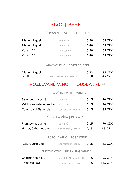# PIVO | BEER<sup>1</sup>

### ČEPOVANÉ PIVO | DRAFT BEER

| Pilsner Urquell | světlé/light | 0.501 | 65 CZK |
|-----------------|--------------|-------|--------|
| Pilsner Urquell | světlé/light | 0.401 | 55 CZK |
| Kozel 12°       | tmavé/dark   | 0.501 | 65 CZK |
| Kozel 12°       | tmavé/dark   | 0,401 | 55 CZK |

### LAHVOVÉ PIVO | BOTTLED BEER

| Pilsner Urquell |                             | 0.331 | 55 CZK |
|-----------------|-----------------------------|-------|--------|
| Birell          | nealkoholické/non-alcoholic | 0.501 | 45 CZK |

# ROZLÉVANÉ VÍNO | HOUSEWINE <sup>12</sup>

### BÍLÁ VÍNA | WHITE WINES

| Sauvignon, suché         | Dufek, ČR                                  | 0,151 | 70 CZK  |
|--------------------------|--------------------------------------------|-------|---------|
| Veltlínské zelené, suché | Mádl, ČR                                   | 0,151 | 70 CZK  |
| Colombard/Sauv. blanc    | Connoisseur, Francie                       | 0,151 | 85 CZK  |
|                          | ČERVENÁ VÍNA   RED WINES                   |       |         |
| Frankovka, suché         | Dufek, ČR                                  | 0,151 | 70 CZK  |
| Merlot/Cabernet sauv.    | Connoisseur, Francie                       | 0,151 | 85 CZK  |
|                          | RŮŽOVÉ VÍNO   ROSE WINE                    |       |         |
| Rosé Gourmand            | Connoisseur, Francie                       | 0,151 | 85 CZK  |
|                          | ŠUMIVÉ VÍNO   SPARKLING WINE <sup>12</sup> |       |         |
| Charmat sekt brut        | Vinselekt Michlovský, ČR 0,15 l            |       | 95 CZK  |
| Prosecco DOC             | Tenuta San Gi., Itálie                     | 0,151 | 115 CZK |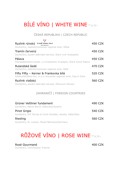# BÍLÉ VÍNO | WHITE WINE 12 0,75 l

### ČESKÁ REPUBLIKA | CZECH REPUBLIC

| Ryzlink rýnský VINAŘ RÓKU 2020                                        | 450 CZK |
|-----------------------------------------------------------------------|---------|
| Suché/Dry, kabinet/moravian regional wine, Sukal                      |         |
| Tramín červený                                                        | 450 CZK |
| Suché/Dry, pozdní sběr/late harvest, Starý vrch Hustopeče             |         |
| Pálava                                                                | 450 CZK |
| Polosladké/Semi-sweet, v.z.h/selection of grapes, Stará Vinice Popice |         |
| Rulandské šedé                                                        | 470 CZK |
| Suché/Dry, kabinet/moravian regional wine, Mádl                       |         |
| Fifty Fifty - Kerner & Frankovka bílá                                 | 520 CZK |
| Polosuché/Semi-dry, m.z.v./moravian regional wine, Dog in Dock        |         |
| Ryzlink vlašský                                                       | 560 CZK |
| Suché/Dry, pozdní sběr/late harvest, Mikrosvín Mikulov                |         |

### ZAHRANIČÍ | FOREIGN COUNTRIES

| Grüner Veltliner fundament<br>Suché/dry, Weine Wurm, Rakousko/Austria    | 490 CZK |
|--------------------------------------------------------------------------|---------|
| Pinot Grigio                                                             | 540 CZK |
| Suché/dry, IGT Tenuta di Corte Gicobbe, Veneto, Itálie/Italy<br>Riesling | 560 CZK |
| Suché/dry, Dr. Loosen, Mosel Německo/Germany                             |         |

# RŮŽOVÉ VÍNO | ROSE WINE 12 0,75 l

Rosé Gourmand 400 CZK Suché/dry, Connoisseur, Francie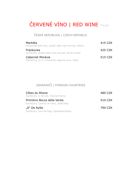# ČERVENÉ VÍNO | RED WINE <sup>12</sup>0,75 l

### ČESKÁ REPUBLIKA | CZECH REPUBLIC

| Markéta<br>Polosuché/Semi-dry, pozdní sběr/late harvest, Bílkovi    | 415 CZK |
|---------------------------------------------------------------------|---------|
| Frankovka<br>Suché/dry, pozdní sběr/ late harvest, Kamil Prokeš     | 425 CZK |
| Cabernet Morávia<br>Suché/Dry, m.z.v./moravian regional wine, Fabig | 515 CZK |

### ZAHRANIČÍ | FOREIGN COUNTRIES

| Côtes du Rhone<br>Suché/dry, A. Brunel, Francie/France | 480 CZK |
|--------------------------------------------------------|---------|
| Primitivo Bocca della Verita                           | 510 CZK |
| Suché/dry, Cantine de Falco, Itálie/Italy              |         |
| "A" De Aylés                                           | 790 CZK |
| Suché/dry, Vino de Pago, Španělsko/Spain               |         |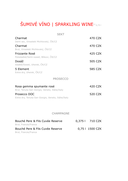# ŠUMIVÉ VÍNO | SPARKLING WINE<sup>12</sup>0,75 l

| <b>SEKT</b>                                                                |         |
|----------------------------------------------------------------------------|---------|
| Charmat                                                                    | 470 CZK |
| Demi sec, Vinselekt Michlovský, ČR/CZ                                      |         |
| Charmat                                                                    | 470 CZK |
| Brut, Vinselekt Michlovský, ČR/CZ                                          |         |
| Frizzante Rosé<br>Polosladké/Semi-sweet, Bílkovi, ČR/CZ                    | 425 CZK |
| Dosáž                                                                      | 505 CZK |
| Sladké/Sweet, Uherek, ČR/CZ                                                |         |
| 5 Element                                                                  | 585 CZK |
| Extra dry, Uherek, ČR/CZ                                                   |         |
| <b>PROSECCO</b>                                                            |         |
| Rosa gemma spumante rosé<br>Brut, Tenuta San Giorgio, Veneto, Itálie/Italy | 420 CZK |
| Prosecco DOC<br>Extra dry, Tenuta San Giorgio, Veneto, Itálie/Italy        | 520 CZK |
|                                                                            |         |

#### CHAMPAGNE

| Bouché Pere & Fils Cuvée Reserve | 0.375   710 CZK |
|----------------------------------|-----------------|
| Brut, Francie/France             |                 |
| Bouché Pere & Fils Cuvée Reserve | 0.75   1500 CZK |
| Brut, Francie/France             |                 |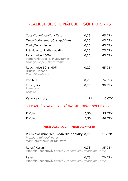# NEALKOHOLICKÉ NÁPOJE | SOFT DRINKS

| Coca-Cola/Coca-Cola Zero                                                                            | 0,331          | 45 CZK        |  |
|-----------------------------------------------------------------------------------------------------|----------------|---------------|--|
| Targa florio lemon/Orange/Vinea                                                                     | 0,251          | 45 CZK        |  |
| Tonic/Tonic ginger                                                                                  | 0,251          | 45 CZK        |  |
| Prémiový tonic dle nabídky                                                                          | 0,251          | 75 CZK        |  |
| Rauch juice 100%<br>Pomeranč, Jablko, Multivitamín<br>Orange, Apple, Multivitamin                   | 0,201          | 45 CZK        |  |
| Rauch juice 50%, 40%<br>Hruška, Jahoda<br>Pear, Strawberry                                          | 0,201          | 45 CZK        |  |
| Red bull                                                                                            | 0,251          | 74 CZK        |  |
| Fresh juice<br>Pomeranč<br>Orange                                                                   | 0,201          | 90 CZK        |  |
| Karafa s citrusy                                                                                    | 1 <sub>1</sub> | 40 CZK        |  |
| ČEPOVANÉ NEALKOHOLICKÉ NÁPOJE   DRAFT SOFT DRINKS                                                   |                |               |  |
| Kofola                                                                                              | 0,301          | 25 CZK        |  |
| Kofola                                                                                              | 0,501          | 40 CZK        |  |
| MINERÁLNÍ VODA   MINERAL WATER                                                                      |                |               |  |
| Prémiová minerální voda dle nabídky 0,251<br>Premium mineral water<br>More information at the staff |                | <b>50 CZK</b> |  |
| Rajec/ Korunní<br>Minerální neperlivá, perlivá / Mineral still, sparkling water                     | 0,331          | 35 CZK        |  |
| Rajec<br>Minerální neperlivá, perlivá / Mineral still, sparkling water                              | 0,751          | 70 CZK        |  |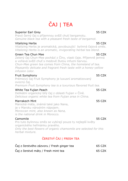# ČAJ | TEA

#### Superior Earl Grey **55 CZK**

Pravý černý čaj s příjemnou svěží chutí bergamotu. *Genuine black tea with a pleasant fresh taste of bergamot.*

#### Vitalizing Herbs 55 CZK

Vitalizing Herbs je aromatická, povzbuzující bylinná čajová směs. *Vitalizing Herbs is an aromatic, invigorating herbal tea blend.*

#### Green Tea Chun Mee 55 CZK

Zelený čaj Chun-Mee pochází z Číny, vlasti čaje. Příjemně jemná a voňavá svěží chuť s medově žlutou infuzní barvou. *Chun-Mee green tea comes from China, the homeland of tea. Pleasantly delicate and fragrant fresh taste with a honey-yellow infusion color.*

#### Fruit Symphony 55 CZK

Prémiový čaj Fruit Symphony je luxusní aromatizovaný ovocný čaj. *Premium Fruit Symphony tea is a luxurious flavored fruit tea.*

#### White Tea Fujian Peach 55 CZK

Delikátní organický bílý čaj z oblasti Fujian v Číně. *Delicious organic white tea from Fujian area in China.*

#### Marrakech Mint **55 CZK**

Marocká máta, známá také jako Nana, je v Maroku národním nápojem. *Moroccan mint, also known as Nana, is the national drink in Morocco.*

#### Camomile 55 CZK

Pro tuto bylinnou směs se vybírají pouze ty nejlepší květy organického heřmánku pravého. *Only the best flowers of organic chamomile are selected for this herbal mixture.*

### ČERSTVÝ ČAJ | FRESH TEA

| Čaj z čerstvého zázvoru / Fresh ginger tea | 65 CZK |
|--------------------------------------------|--------|
| Čaj z čerstvé máty / Fresh mint tea        | 65 CZK |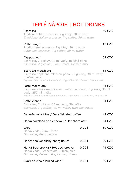# TEPLÉ NÁPOJE | HOT DRINKS

| Espresso<br>Tradiční italské espresso, 7 g kávy, 30 ml vody<br>Traditional italian espresso, 7 g coffee, 30 ml water                                                                            |       | 49 CZK        |
|-------------------------------------------------------------------------------------------------------------------------------------------------------------------------------------------------|-------|---------------|
| Caffé Lungo<br>Prodloužené espresso, 7 g kávy, 80 ml vody<br>Extended espresso, 7 g coffee, 80 ml water                                                                                         |       | 49 CZK        |
| Cappuccino <sup>7</sup><br>Espresso, 7 g kávy, 30 ml vody, mléčná pěna<br>Espresso, 7 g coffee, 30ml water, foamed milk                                                                         |       | <b>59 CZK</b> |
| Espresso macchiato<br>Espresso doplněné mléčnou pěnou, 7 g kávy, 30 ml vody,<br>mléčná pěna<br>Espresso filled up with foamed milk, 7 g coffee, 30 ml water, foamed milk                        |       | 54 CZK        |
| Latte macchiato <sup>7</sup><br>Espresso s horkým mlékem a mléčnou pěnou, 7 g kávy, 30 ml<br>vody, 250 ml mléka<br>Espresso with hot milk and foamed milk, 7 g coffee, 30 ml water, 250 ml milk |       | 64 CZK        |
| Caffé Vienna <sup>7</sup><br>Espresso, 7 g kávy, 80 ml vody, Šlehačka<br>Espresso, 7 g coffee, 80 ml water, whipped cream                                                                       |       | 64 CZK        |
| Bezkofeinová káva / Decaffeinated coffee                                                                                                                                                        |       | 49 CZK        |
| Horká čokoláda se šlehačkou / Hot chocolate <sup>7</sup>                                                                                                                                        |       | 64 CZK        |
| Grog<br>Horká voda, Rum, Citron<br>Hot water, Rum, Lemon                                                                                                                                        | 0,201 | <b>59 CZK</b> |
| Horký nealkoholický nápoj Rauch                                                                                                                                                                 | 0,201 | 69 CZK        |
| Horká Becherovka / Hot becherovka<br>Horká voda, Becherovka, Citron, Med<br>Hot water, Becherovka, Lemon, Honey                                                                                 | 0,201 | 74 CZK        |
| Svařené víno / Mulled wine <sup>12</sup>                                                                                                                                                        | 0,201 | 89 CZK        |